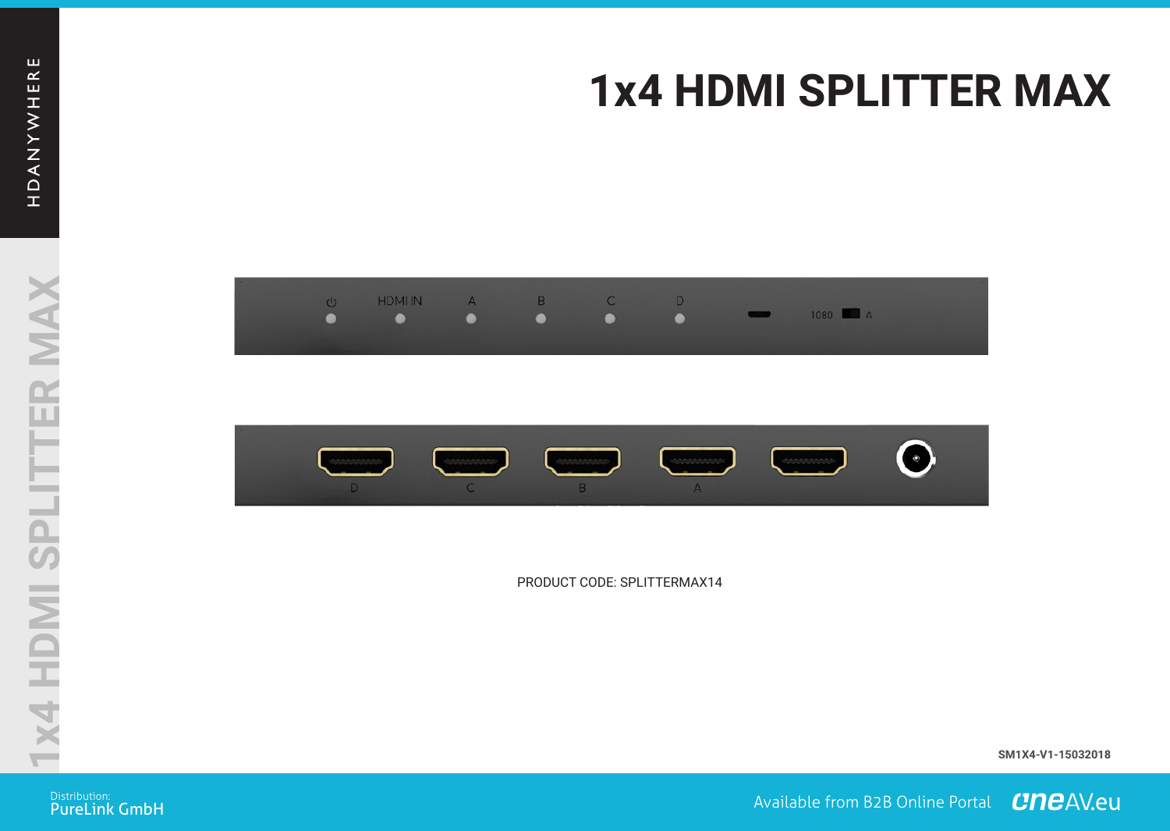## **1x4 HDMI SPLITTER MAX 1x4 HDMI SPLITTER MAX**





PRODUCT CODE: SPLITTERMAX14 PRODUCT CODE: SPLITTERMAX14

**SM1X4-V1-15032018 SM1X4-V1-15032018**

Distribution:<br>PureLink GmbH

ustrowide: **All the Community of the Community of the Community of the Community of the Community of the Commun<br>PureLink GmbH**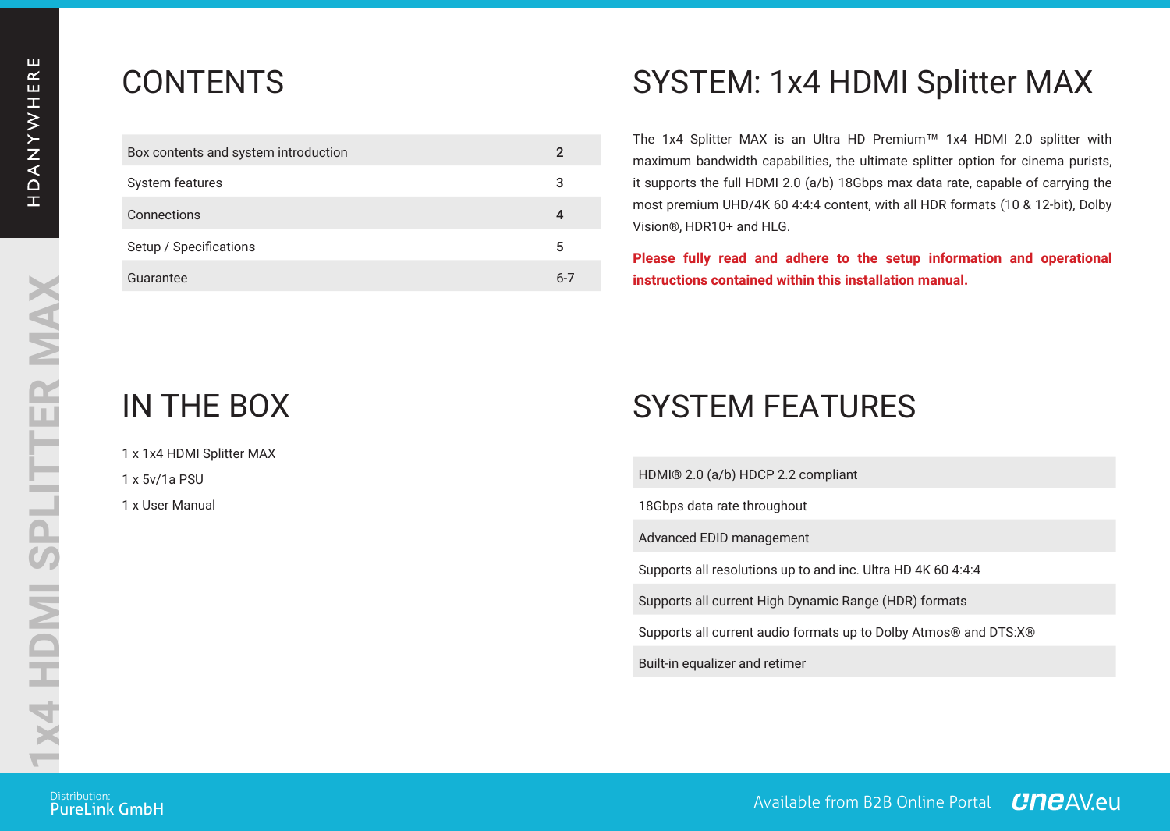| Box contents and system introduction |      |
|--------------------------------------|------|
| System features                      | 3    |
| Connections                          | 4    |
| Setup / Specifications               | 5    |
| Guarantee                            | $6-$ |

## CONTENTS SYSTEM: 1x4 HDMI Splitter MAX

The 1x4 Splitter MAX is an Ultra HD Premium™ 1x4 HDMI 2.0 splitter with maximum bandwidth capabilities, the ultimate splitter option for cinema purists, it supports the full HDMI 2.0 (a/b) 18Gbps max data rate, capable of carrying the most premium UHD/4K 60 4:4:4 content, with all HDR formats (10 & 12-bit), Dolby Vision®, HDR10+ and HLG.

> **Please fully read and adhere to the setup information and operational instructions contained within this installation manual.**

1 x 1x4 HDMI Splitter MAX  $1 \times 5v/16$  PSU 1 x User Manual

# IN THE BOX SYSTEM FEATURES

HDMI® 2.0 (a/b) HDCP 2.2 compliant

18Gbps data rate throughout

Advanced EDID management

Supports all resolutions up to and inc. Ultra HD 4K 60 4:4:4

Supports all current High Dynamic Range (HDR) formats

Supports all current audio formats up to Dolby Atmos® and DTS:X®

Built-in equalizer and retimer

**PureLink GmbH** 

ustrowide: **All the Community of the Community of the Community of the Community of the Community of the Commun<br>PureLink GmbH**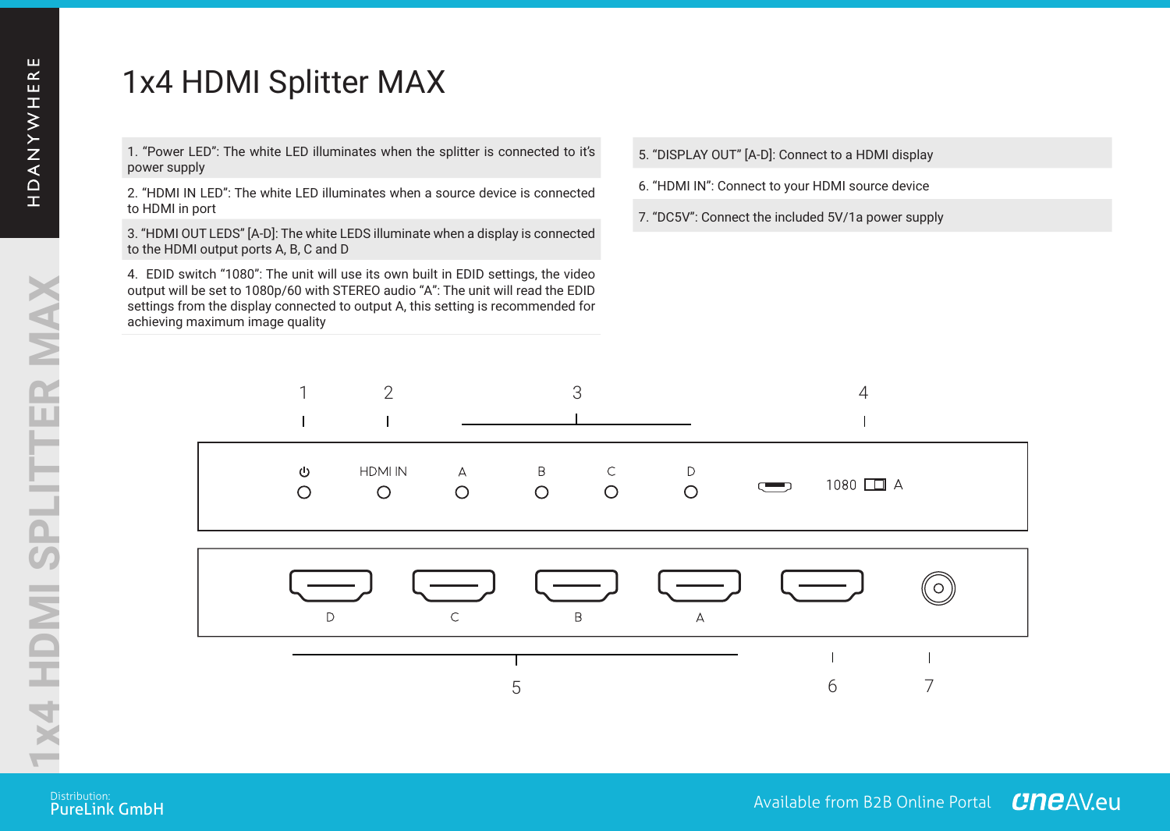## 1x4 HDMI Splitter MAX

**LU** 

1. "Power LED": The white LED illuminates when the splitter is connected to it's power supply

2. "HDMI IN LED": The white LED illuminates when a source device is connected to HDMI in port

3. "HDMI OUT LEDS" [A-D]: The white LEDS illuminate when a display is connected to the HDMI output ports A, B, C and D

4. EDID switch "1080": The unit will use its own built in EDID settings, the video output will be set to 1080p/60 with STEREO audio "A": The unit will read the EDID settings from the display connected to output A, this setting is recommended for achieving maximum image quality

5. "DISPLAY OUT" [A-D]: Connect to a HDMI display **1x4 HDMI SPLITTER MAX**

6. "HDMI IN": Connect to your HDMI source device

7. "DC5V": Connect the included 5V/1a power supply



**PureLink GmbH**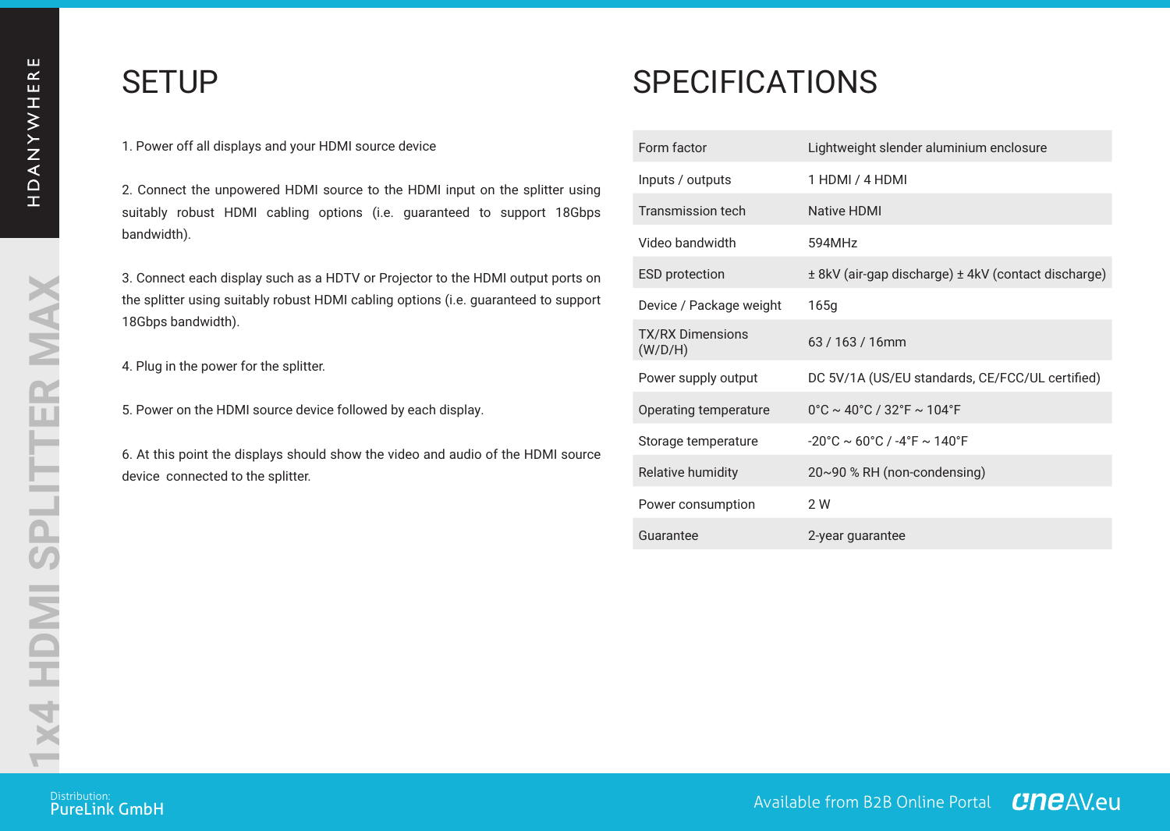**1x4 HDMI SPLITTER MAX**

1x4 HDMI SPLITTER MAX

**1x4 HDMI SPLITTER MAX**

## SETUP

1. Power off all displays and your HDMI source device

2. Connect the unpowered HDMI source to the HDMI input on the splitter using suitably robust HDMI cabling options (i.e. guaranteed to support 18Gbps bandwidth).

3. Connect each display such as a HDTV or Projector to the HDMI output ports on the splitter using suitably robust HDMI cabling options (i.e. guaranteed to support 18Gbps bandwidth).

4. Plug in the power for the splitter.

5. Power on the HDMI source device followed by each display.

6. At this point the displays should show the video and audio of the HDMI source device connected to the splitter.

## **SPECIFICATIONS**

|                   | Form factor                        | Lightweight slender aluminium enclosure                               |
|-------------------|------------------------------------|-----------------------------------------------------------------------|
| usina<br>8Gbps    | Inputs / outputs                   | 1 HDMI / 4 HDMI                                                       |
|                   | Transmission tech                  | Native HDMI                                                           |
|                   | Video bandwidth                    | 594MHz                                                                |
| orts on<br>upport | <b>ESD</b> protection              | ± 8kV (air-qap discharge) ± 4kV (contact discharge)                   |
|                   | Device / Package weight            | 165q                                                                  |
|                   | <b>TX/RX Dimensions</b><br>(W/D/H) | 63/163/16mm                                                           |
|                   | Power supply output                | DC 5V/1A (US/EU standards, CE/FCC/UL certified)                       |
|                   | Operating temperature              | $0^{\circ}$ C ~ 40°C / 32°F ~ 104°F                                   |
| source            | Storage temperature                | $-20^{\circ}$ C ~ 60 $^{\circ}$ C / $-4^{\circ}$ F ~ 140 $^{\circ}$ F |
|                   | Relative humidity                  | 20~90 % RH (non-condensing)                                           |
|                   | Power consumption                  | 2W                                                                    |
|                   | Guarantee                          | 2-year quarantee                                                      |

ustrowide: **All the Community of the Community of the Community of the Community of the Community of the Commun<br>PureLink GmbH**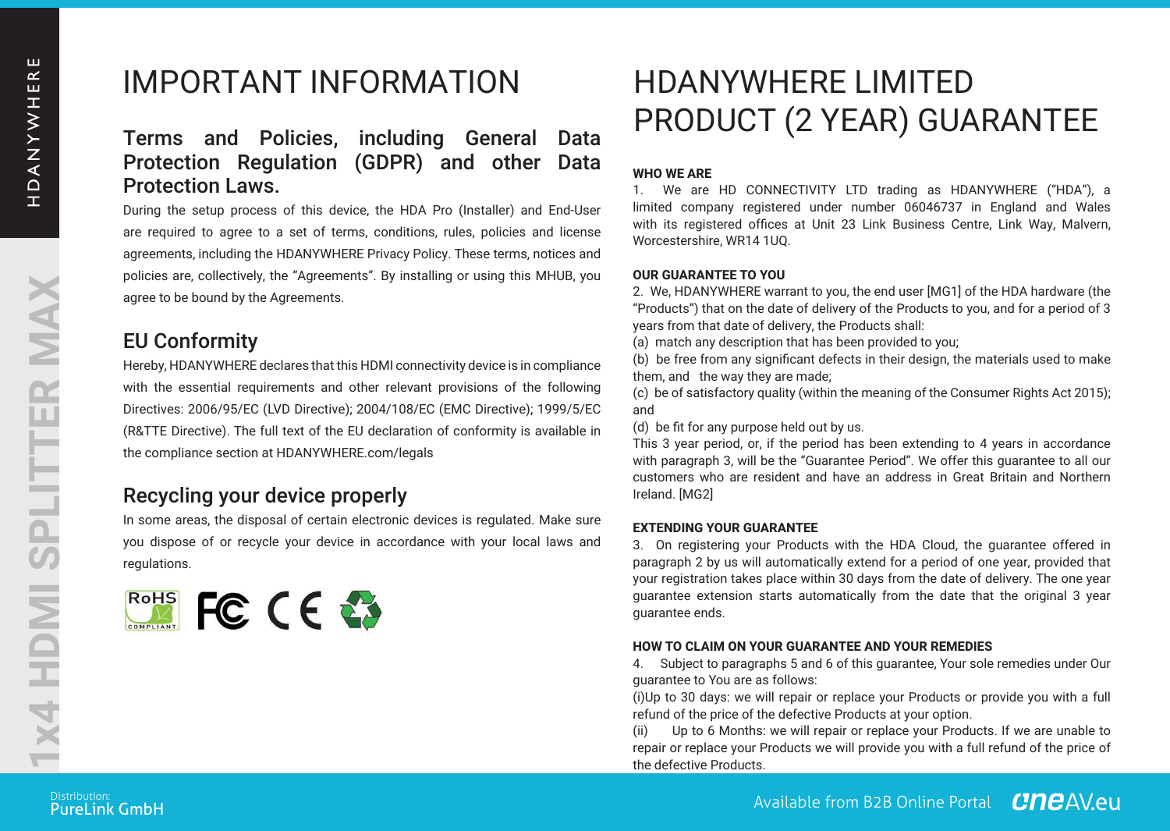## IMPORTANT INFORMATION HDANYWHERE LIMITED

#### Terms and Policies, including General Data Protection Regulation (GDPR) and other Data Protection Laws.

During the setup process of this device, the HDA Pro (Installer) and End-User are required to agree to a set of terms, conditions, rules, policies and license agreements, including the HDANYWHERE Privacy Policy. These terms, notices and policies are, collectively, the "Agreements". By installing or using this MHUB, you agree to be bound by the Agreements.

#### EU Conformity

Hereby, HDANYWHERE declares that this HDMI connectivity device is in compliance with the essential requirements and other relevant provisions of the following Directives: 2006/95/EC (LVD Directive); 2004/108/EC (EMC Directive); 1999/5/EC (R&TTE Directive). The full text of the EU declaration of conformity is available in the compliance section at HDANYWHERE.com/legals

### Recycling your device properly

In some areas, the disposal of certain electronic devices is regulated. Make sure you dispose of or recycle your device in accordance with your local laws and regulations.



# <sub>Data</sub> PRODUCT (2 YEAR) GUARANTEE

#### **WHO WE ARE**

1. We are HD CONNECTIVITY LTD trading as HDANYWHERE ("HDA"), a limited company registered under number 06046737 in England and Wales with its registered offices at Unit 23 Link Business Centre, Link Way, Malvern, Worcestershire, WR14 1UQ.

#### **OUR GUARANTEE TO YOU**

2. We, HDANYWHERE warrant to you, the end user [MG1] of the HDA hardware (the "Products") that on the date of delivery of the Products to you, and for a period of 3 years from that date of delivery, the Products shall:

(a) match any description that has been provided to you;

(b) be free from any significant defects in their design, the materials used to make them, and the way they are made;

(c) be of satisfactory quality (within the meaning of the Consumer Rights Act 2015); and

(d) be fit for any purpose held out by us.

This 3 year period, or, if the period has been extending to 4 years in accordance with paragraph 3, will be the "Guarantee Period". We offer this guarantee to all our customers who are resident and have an address in Great Britain and Northern Ireland. [MG2]

#### **EXTENDING YOUR GUARANTEE**

3. On registering your Products with the HDA Cloud, the guarantee offered in paragraph 2 by us will automatically extend for a period of one year, provided that your registration takes place within 30 days from the date of delivery. The one year guarantee extension starts automatically from the date of delivery. The one year in guarantee extension starts automatically from the date that the original 3 year guarantee ends.

## **HOW TO CLAIM ON YOUR GUARANTEE AND YOUR REMEDIES**<br>4. Subject to paragraphs 5 and 6 of this quarantee. Your sole

4. Subject to paragraphs 5 and 6 of this guarantee, Your sole remedies under Our guarantee to You are as follows:

(i)Up to 30 days: we will repair or replace your Products or provide you with a full refund of the price of the defective Products at your option.

(ii) Up to 6 Months: we will repair or replace your Products. If we are unable to repair or replace your Products we will provide you with a full refund of the price of the defective Products.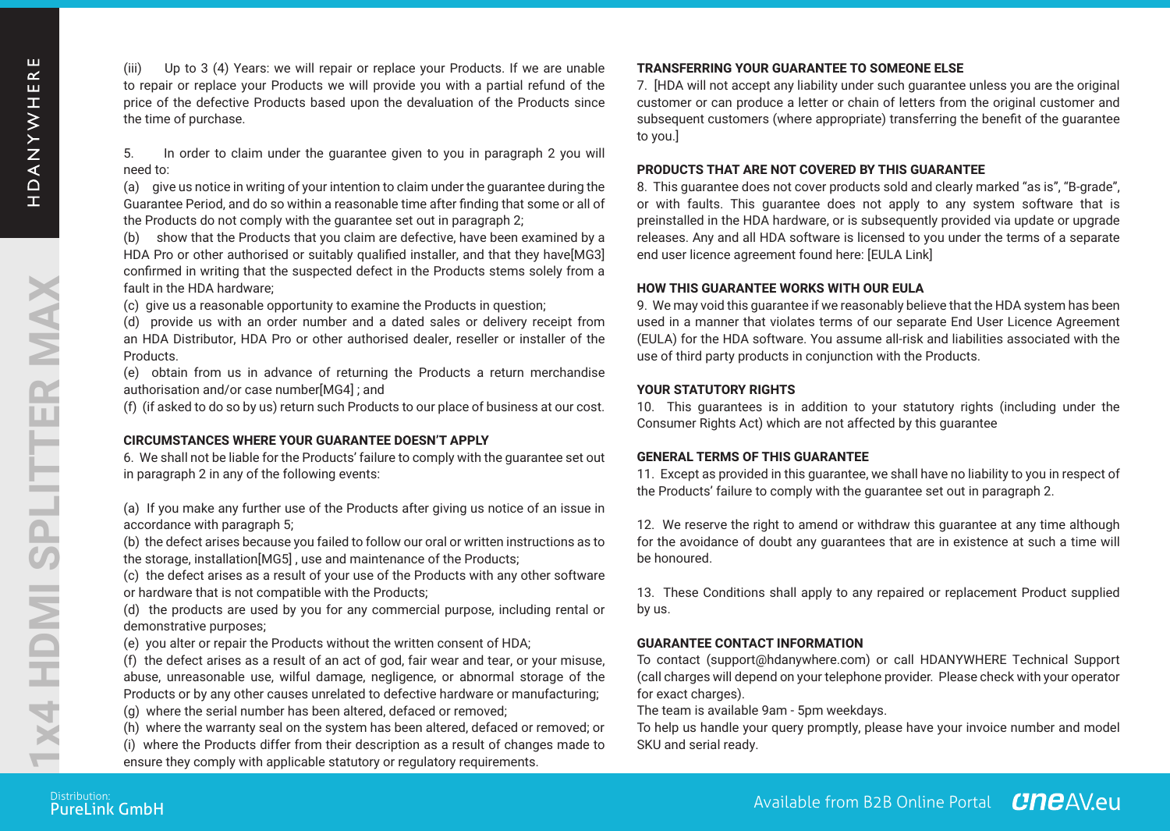(iii) Up to 3 (4) Years: we will repair or replace your Products. If we are unable to repair or replace your Products we will provide you with a partial refund of the price of the defective Products based upon the devaluation of the Products since the time of purchase.

5. In order to claim under the guarantee given to you in paragraph 2 you will need to:

(a) give us notice in writing of your intention to claim under the guarantee during the Guarantee Period, and do so within a reasonable time after finding that some or all of the Products do not comply with the guarantee set out in paragraph 2;

(b) show that the Products that you claim are defective, have been examined by a HDA Pro or other authorised or suitably qualified installer, and that they have[MG3] confirmed in writing that the suspected defect in the Products stems solely from a fault in the HDA hardware;

(c) give us a reasonable opportunity to examine the Products in question;

(d) provide us with an order number and a dated sales or delivery receipt from an HDA Distributor, HDA Pro or other authorised dealer, reseller or installer of the Products.

(e) obtain from us in advance of returning the Products a return merchandise authorisation and/or case number[MG4] ; and

(f) (if asked to do so by us) return such Products to our place of business at our cost.

#### **CIRCUMSTANCES WHERE YOUR GUARANTEE DOESN'T APPLY**

6. We shall not be liable for the Products' failure to comply with the guarantee set out in paragraph 2 in any of the following events:

(a) If you make any further use of the Products after giving us notice of an issue in accordance with paragraph 5;

(b) the defect arises because you failed to follow our oral or written instructions as to the storage, installation[MG5], use and maintenance of the Products;

(c) the defect arises as a result of your use of the Products with any other software or hardware that is not compatible with the Products;

(d) the products are used by you for any commercial purpose, including rental or demonstrative purposes;

(e) you alter or repair the Products without the written consent of HDA;

(f) the defect arises as a result of an act of god, fair wear and tear, or your misuse, abuse, unreasonable use, wilful damage, negligence, or abnormal storage of the Products or by any other causes unrelated to defective hardware or manufacturing;

(g) where the serial number has been altered, defaced or removed;

(h) where the warranty seal on the system has been altered, defaced or removed; or (i) where the Products differ from their description as a result of changes made to ensure they comply with applicable statutory or regulatory requirements.

#### **TRANSFERRING YOUR GUARANTEE TO SOMEONE ELSE**

7. [HDA will not accept any liability under such guarantee unless you are the original customer or can produce a letter or chain of letters from the original customer and subsequent customers (where appropriate) transferring the benefit of the guarantee subsequent customers (where appropriate) transferring the benefit of the guarantee to you.]

#### **PRODUCTS THAT ARE NOT COVERED BY THIS GUARANTEE**

8. This quarantee does not cover products sold and clearly marked "as is", "B-grade", or with faults. This guarantee does not apply to any system software that is preinstalled in the HDA hardware, or is subsequently provided via update or upgrade releases. Any and all HDA software is licensed to you under the terms of a separate end user licence agreement found here: [EULA Link]

#### **HOW THIS GUARANTEE WORKS WITH OUR EULA**

9. We may void this guarantee if we reasonably believe that the HDA system has been used in a manner that violates terms of our separate End User Licence Agreement (EULA) for the HDA software. You assume all-risk and liabilities associated with the use of third party products in conjunction with the Products.

#### **YOUR STATUTORY RIGHTS**

10. This guarantees is in addition to your statutory rights (including under the Consumer Rights Act) which are not affected by this guarantee

#### **GENERAL TERMS OF THIS GUARANTEE**

11. Except as provided in this guarantee, we shall have no liability to you in respect of the Products' failure to comply with the guarantee set out in paragraph 2.

12. We reserve the right to amend or withdraw this guarantee at any time although for the avoidance of doubt any guarantees that are in existence at such a time will be honoured.

13. These Conditions shall apply to any repaired or replacement Product supplied by us.

#### **GUARANTEE CONTACT INFORMATION**

To contact (support@hdanywhere.com) or call HDANYWHERE Technical Support (call charges will depend on your telephone provider. Please check with your operator for exact charges).

The team is available 9am - 5pm weekdays.

To help us handle your query promptly, please have your invoice number and model SKU and serial ready.